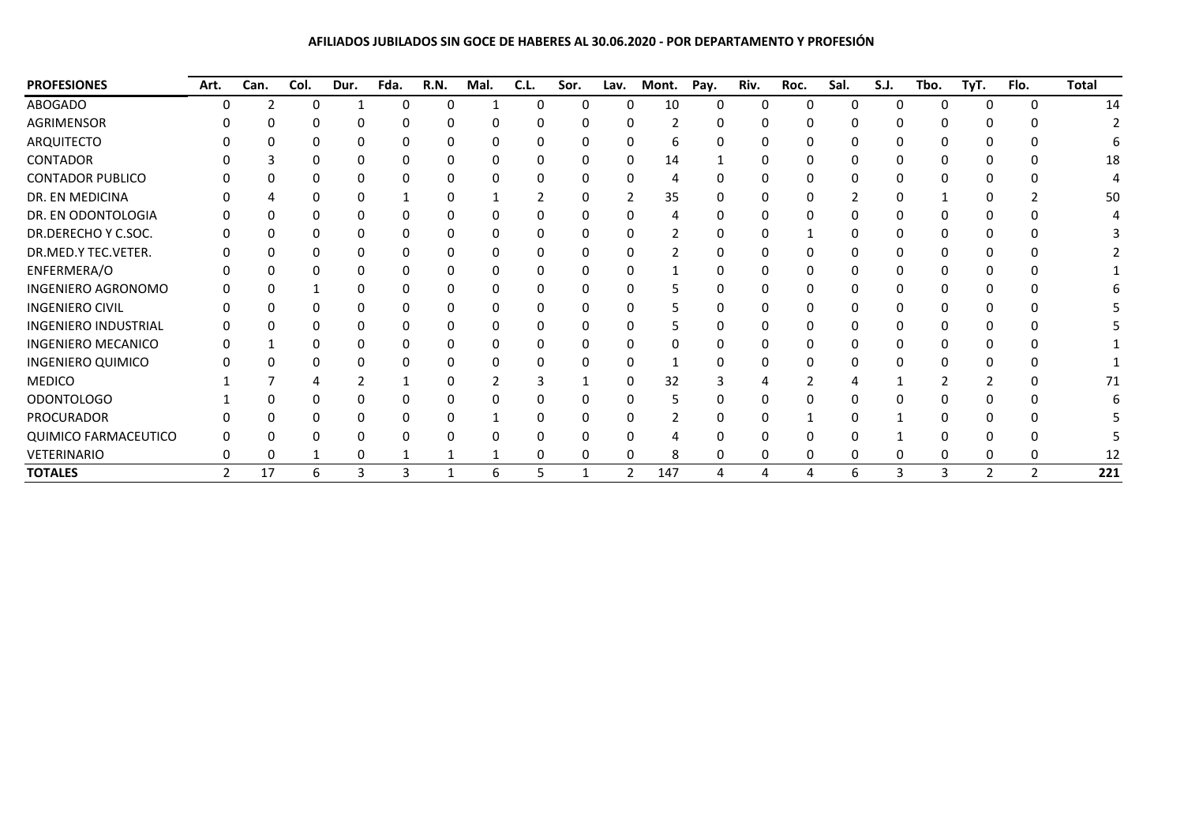## **AFILIADOS JUBILADOS SIN GOCE DE HABERES AL 30.06.2020 - POR DEPARTAMENTO Y PROFESIÓN**

| <b>PROFESIONES</b>          | Art.          | Can. | Col. | Dur. | Fda. | R.N. | Mal. | C.L.         | Sor. | Lav. | Mont. | Pay. | Riv.     | Roc. | Sal. | S.J. | Tbo. | TyT.           | Flo.     | <b>Total</b> |
|-----------------------------|---------------|------|------|------|------|------|------|--------------|------|------|-------|------|----------|------|------|------|------|----------------|----------|--------------|
| <b>ABOGADO</b>              |               |      |      |      | 0    | 0    |      | <sup>0</sup> | 0    | 0    | 10    | 0    | $\Omega$ | n    | 0    | 0    | 0    | $\Omega$       | $\Omega$ | 14           |
| AGRIMENSOR                  |               |      |      |      |      |      |      |              |      |      |       |      |          |      |      | 0    | ი    | ŋ              |          |              |
| ARQUITECTO                  |               |      |      |      |      |      |      |              |      |      | h     |      |          |      |      |      | ი    |                |          |              |
| CONTADOR                    |               |      |      |      |      |      |      |              |      |      | 14    |      |          |      |      |      | ი    |                |          | 18           |
| <b>CONTADOR PUBLICO</b>     |               |      |      |      |      |      |      |              |      | O    | 4     |      |          |      |      |      |      |                |          |              |
| DR. EN MEDICINA             |               |      |      |      |      |      |      |              |      |      | 35    |      |          |      |      |      |      |                |          | 50           |
| DR. EN ODONTOLOGIA          |               |      |      |      |      |      |      |              |      |      |       |      |          |      |      |      |      |                |          |              |
| DR.DERECHO Y C.SOC.         |               |      |      |      |      |      |      |              |      |      |       |      |          |      |      |      |      |                |          |              |
| DR.MED.Y TEC.VETER.         |               |      |      |      |      |      |      |              |      |      |       |      |          |      |      |      |      |                |          |              |
| ENFERMERA/O                 |               |      |      |      |      |      |      |              |      |      |       |      |          |      |      |      |      |                |          |              |
| INGENIERO AGRONOMO          |               |      |      |      |      |      |      |              |      |      |       |      |          |      |      |      |      |                |          |              |
| <b>INGENIERO CIVIL</b>      |               |      |      |      |      |      |      |              |      |      |       |      |          |      |      |      |      |                |          |              |
| <b>INGENIERO INDUSTRIAL</b> |               |      |      |      |      |      |      |              |      |      |       |      |          |      |      |      |      |                |          |              |
| <b>INGENIERO MECANICO</b>   |               |      |      |      |      |      |      |              |      |      |       |      |          |      |      |      |      |                |          |              |
| <b>INGENIERO QUIMICO</b>    |               |      |      |      |      |      | ŋ    |              |      |      |       |      |          |      |      |      | 0    |                |          |              |
| <b>MEDICO</b>               |               |      |      |      |      |      |      |              |      | 0    | 32    |      |          |      |      |      |      |                |          | 71           |
| <b>ODONTOLOGO</b>           |               |      |      |      |      |      |      |              |      |      |       |      |          |      |      |      |      |                |          |              |
| PROCURADOR                  |               |      |      |      |      |      |      |              |      |      |       |      |          |      |      |      | ი    |                |          |              |
| <b>QUIMICO FARMACEUTICO</b> |               |      |      |      |      |      |      |              |      |      |       |      |          |      |      |      |      |                |          |              |
| VETERINARIO                 |               |      |      |      |      |      |      |              | 0    | 0    | 8     |      |          |      |      | 0    | 0    | 0              | 0        | 12           |
| <b>TOTALES</b>              | $\mathcal{P}$ | 17   | 6    |      | 3    |      | 6    |              |      | 2    | 147   | 4    | 4        | 4    | 6    | 3    | 3    | $\overline{2}$ | 2        | 221          |